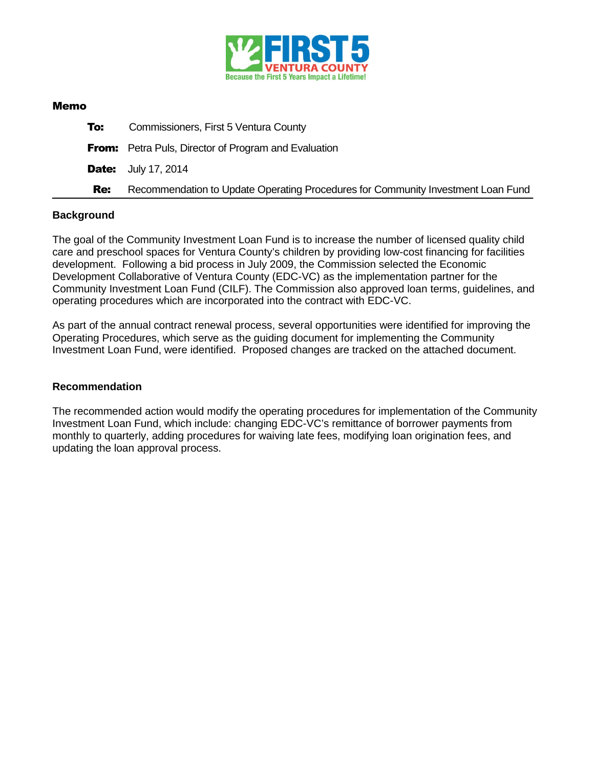

### Memo

| To:        | Commissioners, First 5 Ventura County                                            |
|------------|----------------------------------------------------------------------------------|
|            | <b>From:</b> Petra Puls, Director of Program and Evaluation                      |
|            | <b>Date:</b> July 17, 2014                                                       |
| <b>Re:</b> | Recommendation to Update Operating Procedures for Community Investment Loan Fund |

### **Background**

The goal of the Community Investment Loan Fund is to increase the number of licensed quality child care and preschool spaces for Ventura County's children by providing low-cost financing for facilities development. Following a bid process in July 2009, the Commission selected the Economic Development Collaborative of Ventura County (EDC-VC) as the implementation partner for the Community Investment Loan Fund (CILF). The Commission also approved loan terms, guidelines, and operating procedures which are incorporated into the contract with EDC-VC.

As part of the annual contract renewal process, several opportunities were identified for improving the Operating Procedures, which serve as the guiding document for implementing the Community Investment Loan Fund, were identified. Proposed changes are tracked on the attached document.

### **Recommendation**

The recommended action would modify the operating procedures for implementation of the Community Investment Loan Fund, which include: changing EDC-VC's remittance of borrower payments from monthly to quarterly, adding procedures for waiving late fees, modifying loan origination fees, and updating the loan approval process.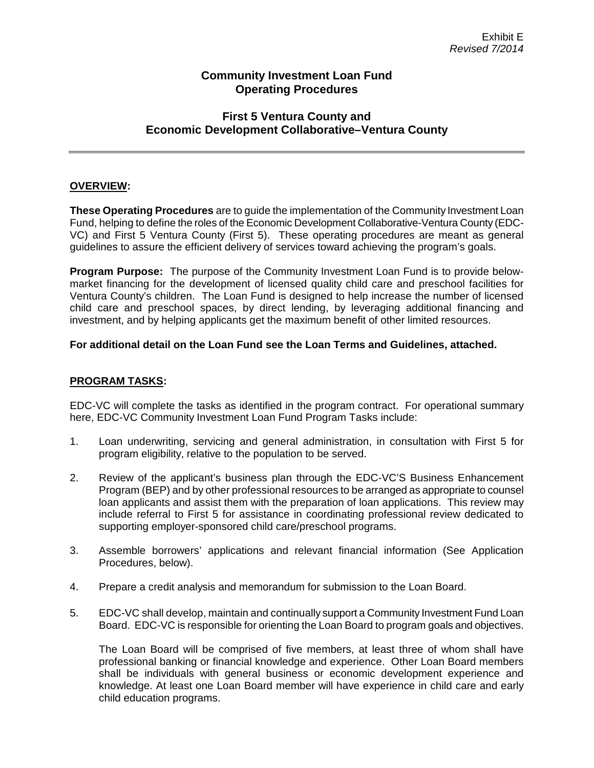## **Community Investment Loan Fund Operating Procedures**

# **First 5 Ventura County and Economic Development Collaborative–Ventura County**

## **OVERVIEW:**

**These Operating Procedures** are to guide the implementation of the Community Investment Loan Fund, helping to define the roles of the Economic Development Collaborative-Ventura County (EDC-VC) and First 5 Ventura County (First 5). These operating procedures are meant as general guidelines to assure the efficient delivery of services toward achieving the program's goals.

**Program Purpose:** The purpose of the Community Investment Loan Fund is to provide belowmarket financing for the development of licensed quality child care and preschool facilities for Ventura County's children. The Loan Fund is designed to help increase the number of licensed child care and preschool spaces, by direct lending, by leveraging additional financing and investment, and by helping applicants get the maximum benefit of other limited resources.

## **For additional detail on the Loan Fund see the Loan Terms and Guidelines, attached.**

## **PROGRAM TASKS:**

EDC-VC will complete the tasks as identified in the program contract. For operational summary here, EDC-VC Community Investment Loan Fund Program Tasks include:

- 1. Loan underwriting, servicing and general administration, in consultation with First 5 for program eligibility, relative to the population to be served.
- 2. Review of the applicant's business plan through the EDC-VC'S Business Enhancement Program (BEP) and by other professional resources to be arranged as appropriate to counsel loan applicants and assist them with the preparation of loan applications. This review may include referral to First 5 for assistance in coordinating professional review dedicated to supporting employer-sponsored child care/preschool programs.
- 3. Assemble borrowers' applications and relevant financial information (See Application Procedures, below).
- 4. Prepare a credit analysis and memorandum for submission to the Loan Board.
- 5. EDC-VC shall develop, maintain and continually support a Community Investment Fund Loan Board. EDC-VC is responsible for orienting the Loan Board to program goals and objectives.

The Loan Board will be comprised of five members, at least three of whom shall have professional banking or financial knowledge and experience. Other Loan Board members shall be individuals with general business or economic development experience and knowledge. At least one Loan Board member will have experience in child care and early child education programs.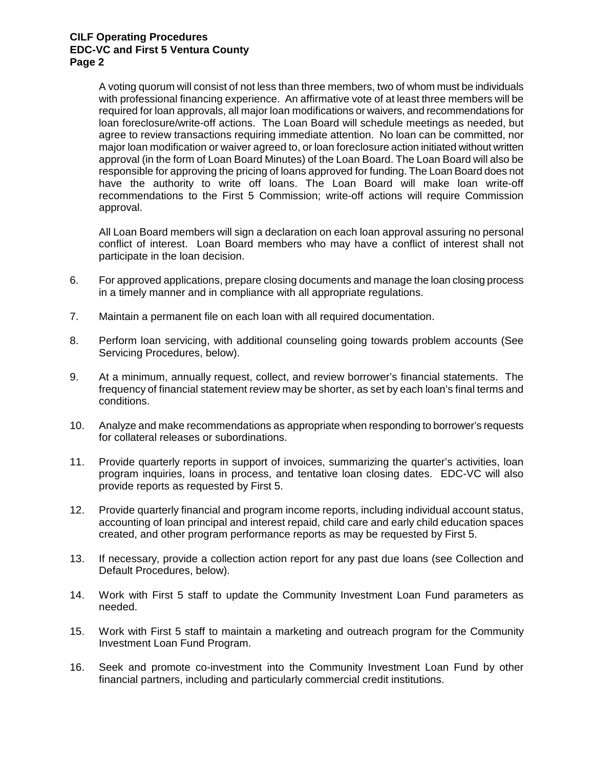A voting quorum will consist of not less than three members, two of whom must be individuals with professional financing experience. An affirmative vote of at least three members will be required for loan approvals, all major loan modifications or waivers, and recommendations for loan foreclosure/write-off actions. The Loan Board will schedule meetings as needed, but agree to review transactions requiring immediate attention. No loan can be committed, nor major loan modification or waiver agreed to, or loan foreclosure action initiated without written approval (in the form of Loan Board Minutes) of the Loan Board. The Loan Board will also be responsible for approving the pricing of loans approved for funding. The Loan Board does not have the authority to write off loans. The Loan Board will make loan write-off recommendations to the First 5 Commission; write-off actions will require Commission approval.

All Loan Board members will sign a declaration on each loan approval assuring no personal conflict of interest. Loan Board members who may have a conflict of interest shall not participate in the loan decision.

- 6. For approved applications, prepare closing documents and manage the loan closing process in a timely manner and in compliance with all appropriate regulations.
- 7. Maintain a permanent file on each loan with all required documentation.
- 8. Perform loan servicing, with additional counseling going towards problem accounts (See Servicing Procedures, below).
- 9. At a minimum, annually request, collect, and review borrower's financial statements. The frequency of financial statement review may be shorter, as set by each loan's final terms and conditions.
- 10. Analyze and make recommendations as appropriate when responding to borrower's requests for collateral releases or subordinations.
- 11. Provide quarterly reports in support of invoices, summarizing the quarter's activities, loan program inquiries, loans in process, and tentative loan closing dates. EDC-VC will also provide reports as requested by First 5.
- 12. Provide quarterly financial and program income reports, including individual account status, accounting of loan principal and interest repaid, child care and early child education spaces created, and other program performance reports as may be requested by First 5.
- 13. If necessary, provide a collection action report for any past due loans (see Collection and Default Procedures, below).
- 14. Work with First 5 staff to update the Community Investment Loan Fund parameters as needed.
- 15. Work with First 5 staff to maintain a marketing and outreach program for the Community Investment Loan Fund Program.
- 16. Seek and promote co-investment into the Community Investment Loan Fund by other financial partners, including and particularly commercial credit institutions.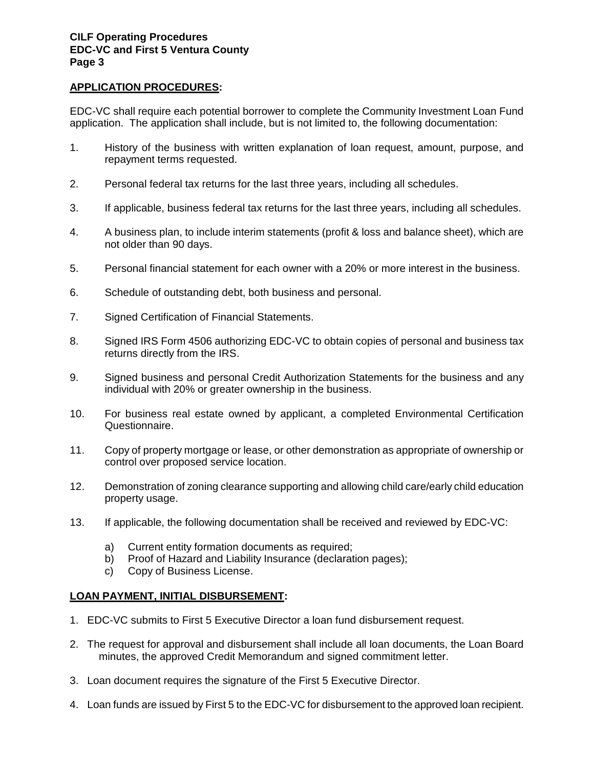## **APPLICATION PROCEDURES:**

EDC-VC shall require each potential borrower to complete the Community Investment Loan Fund application. The application shall include, but is not limited to, the following documentation:

- 1. History of the business with written explanation of loan request, amount, purpose, and repayment terms requested.
- 2. Personal federal tax returns for the last three years, including all schedules.
- 3. If applicable, business federal tax returns for the last three years, including all schedules.
- 4. A business plan, to include interim statements (profit & loss and balance sheet), which are not older than 90 days.
- 5. Personal financial statement for each owner with a 20% or more interest in the business.
- 6. Schedule of outstanding debt, both business and personal.
- 7. Signed Certification of Financial Statements.
- 8. Signed IRS Form 4506 authorizing EDC-VC to obtain copies of personal and business tax returns directly from the IRS.
- 9. Signed business and personal Credit Authorization Statements for the business and any individual with 20% or greater ownership in the business.
- 10. For business real estate owned by applicant, a completed Environmental Certification Questionnaire.
- 11. Copy of property mortgage or lease, or other demonstration as appropriate of ownership or control over proposed service location.
- 12. Demonstration of zoning clearance supporting and allowing child care/early child education property usage.
- 13. If applicable, the following documentation shall be received and reviewed by EDC-VC:
	- a) Current entity formation documents as required;
	- b) Proof of Hazard and Liability Insurance (declaration pages);
	- c) Copy of Business License.

## **LOAN PAYMENT, INITIAL DISBURSEMENT:**

- 1. EDC-VC submits to First 5 Executive Director a loan fund disbursement request.
- 2. The request for approval and disbursement shall include all loan documents, the Loan Board minutes, the approved Credit Memorandum and signed commitment letter.
- 3. Loan document requires the signature of the First 5 Executive Director.
- 4. Loan funds are issued by First 5 to the EDC-VC for disbursement to the approved loan recipient.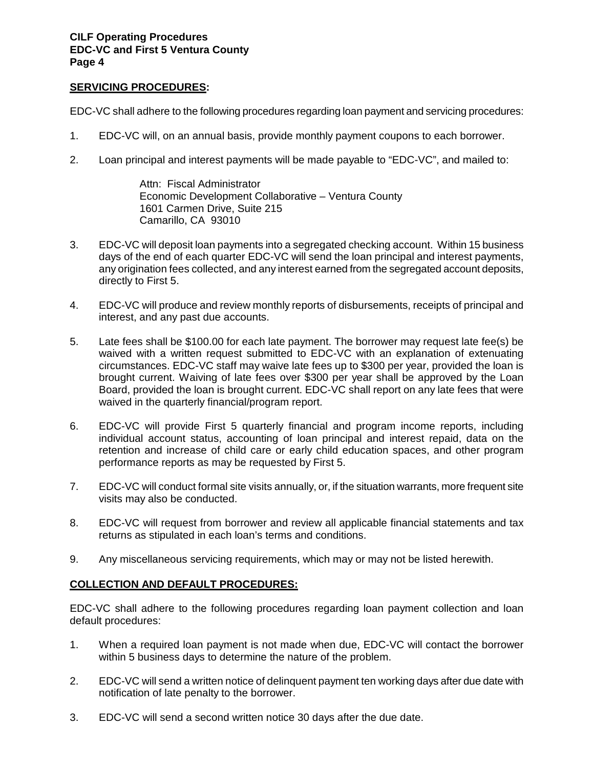### **SERVICING PROCEDURES:**

EDC-VC shall adhere to the following procedures regarding loan payment and servicing procedures:

- 1. EDC-VC will, on an annual basis, provide monthly payment coupons to each borrower.
- 2. Loan principal and interest payments will be made payable to "EDC-VC", and mailed to:

Attn: Fiscal Administrator Economic Development Collaborative – Ventura County 1601 Carmen Drive, Suite 215 Camarillo, CA 93010

- 3. EDC-VC will deposit loan payments into a segregated checking account. Within 15 business days of the end of each quarter EDC-VC will send the loan principal and interest payments, any origination fees collected, and any interest earned from the segregated account deposits, directly to First 5.
- 4. EDC-VC will produce and review monthly reports of disbursements, receipts of principal and interest, and any past due accounts.
- 5. Late fees shall be \$100.00 for each late payment. The borrower may request late fee(s) be waived with a written request submitted to EDC-VC with an explanation of extenuating circumstances. EDC-VC staff may waive late fees up to \$300 per year, provided the loan is brought current. Waiving of late fees over \$300 per year shall be approved by the Loan Board, provided the loan is brought current. EDC-VC shall report on any late fees that were waived in the quarterly financial/program report.
- 6. EDC-VC will provide First 5 quarterly financial and program income reports, including individual account status, accounting of loan principal and interest repaid, data on the retention and increase of child care or early child education spaces, and other program performance reports as may be requested by First 5.
- 7. EDC-VC will conduct formal site visits annually, or, if the situation warrants, more frequent site visits may also be conducted.
- 8. EDC-VC will request from borrower and review all applicable financial statements and tax returns as stipulated in each loan's terms and conditions.
- 9. Any miscellaneous servicing requirements, which may or may not be listed herewith.

## **COLLECTION AND DEFAULT PROCEDURES:**

EDC-VC shall adhere to the following procedures regarding loan payment collection and loan default procedures:

- 1. When a required loan payment is not made when due, EDC-VC will contact the borrower within 5 business days to determine the nature of the problem.
- 2. EDC-VC will send a written notice of delinquent payment ten working days after due date with notification of late penalty to the borrower.
- 3. EDC-VC will send a second written notice 30 days after the due date.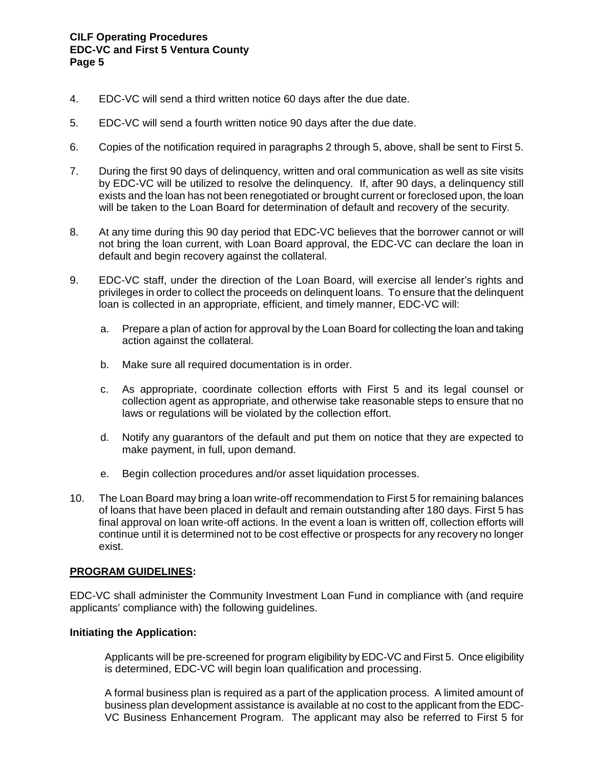- 4. EDC-VC will send a third written notice 60 days after the due date.
- 5. EDC-VC will send a fourth written notice 90 days after the due date.
- 6. Copies of the notification required in paragraphs 2 through 5, above, shall be sent to First 5.
- 7. During the first 90 days of delinquency, written and oral communication as well as site visits by EDC-VC will be utilized to resolve the delinquency. If, after 90 days, a delinquency still exists and the loan has not been renegotiated or brought current or foreclosed upon, the loan will be taken to the Loan Board for determination of default and recovery of the security.
- 8. At any time during this 90 day period that EDC-VC believes that the borrower cannot or will not bring the loan current, with Loan Board approval, the EDC-VC can declare the loan in default and begin recovery against the collateral.
- 9. EDC-VC staff, under the direction of the Loan Board, will exercise all lender's rights and privileges in order to collect the proceeds on delinquent loans. To ensure that the delinquent loan is collected in an appropriate, efficient, and timely manner, EDC-VC will:
	- a. Prepare a plan of action for approval by the Loan Board for collecting the loan and taking action against the collateral.
	- b. Make sure all required documentation is in order.
	- c. As appropriate, coordinate collection efforts with First 5 and its legal counsel or collection agent as appropriate, and otherwise take reasonable steps to ensure that no laws or regulations will be violated by the collection effort.
	- d. Notify any guarantors of the default and put them on notice that they are expected to make payment, in full, upon demand.
	- e. Begin collection procedures and/or asset liquidation processes.
- 10. The Loan Board may bring a loan write-off recommendation to First 5 for remaining balances of loans that have been placed in default and remain outstanding after 180 days. First 5 has final approval on loan write-off actions. In the event a loan is written off, collection efforts will continue until it is determined not to be cost effective or prospects for any recovery no longer exist.

### **PROGRAM GUIDELINES:**

EDC-VC shall administer the Community Investment Loan Fund in compliance with (and require applicants' compliance with) the following guidelines.

### **Initiating the Application:**

Applicants will be pre-screened for program eligibility by EDC-VC and First 5. Once eligibility is determined, EDC-VC will begin loan qualification and processing.

A formal business plan is required as a part of the application process. A limited amount of business plan development assistance is available at no cost to the applicant from the EDC-VC Business Enhancement Program. The applicant may also be referred to First 5 for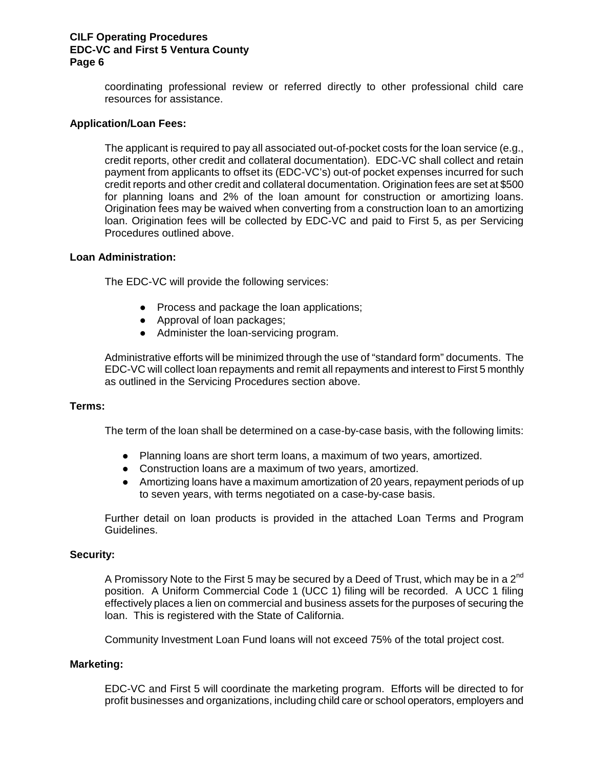coordinating professional review or referred directly to other professional child care resources for assistance.

#### **Application/Loan Fees:**

The applicant is required to pay all associated out-of-pocket costs for the loan service (e.g., credit reports, other credit and collateral documentation). EDC-VC shall collect and retain payment from applicants to offset its (EDC-VC's) out-of pocket expenses incurred for such credit reports and other credit and collateral documentation. Origination fees are set at \$500 for planning loans and 2% of the loan amount for construction or amortizing loans. Origination fees may be waived when converting from a construction loan to an amortizing loan. Origination fees will be collected by EDC-VC and paid to First 5, as per Servicing Procedures outlined above.

#### **Loan Administration:**

The EDC-VC will provide the following services:

- Process and package the loan applications;
- Approval of loan packages;
- Administer the loan-servicing program.

Administrative efforts will be minimized through the use of "standard form" documents. The EDC-VC will collect loan repayments and remit all repayments and interest to First 5 monthly as outlined in the Servicing Procedures section above.

#### **Terms:**

The term of the loan shall be determined on a case-by-case basis, with the following limits:

- Planning loans are short term loans, a maximum of two years, amortized.
- Construction loans are a maximum of two years, amortized.
- Amortizing loans have a maximum amortization of 20 years, repayment periods of up to seven years, with terms negotiated on a case-by-case basis.

Further detail on loan products is provided in the attached Loan Terms and Program Guidelines.

#### **Security:**

A Promissory Note to the First 5 may be secured by a Deed of Trust, which may be in a  $2^{\text{nd}}$ position. A Uniform Commercial Code 1 (UCC 1) filing will be recorded. A UCC 1 filing effectively places a lien on commercial and business assets for the purposes of securing the loan. This is registered with the State of California.

Community Investment Loan Fund loans will not exceed 75% of the total project cost.

### **Marketing:**

EDC-VC and First 5 will coordinate the marketing program. Efforts will be directed to for profit businesses and organizations, including child care or school operators, employers and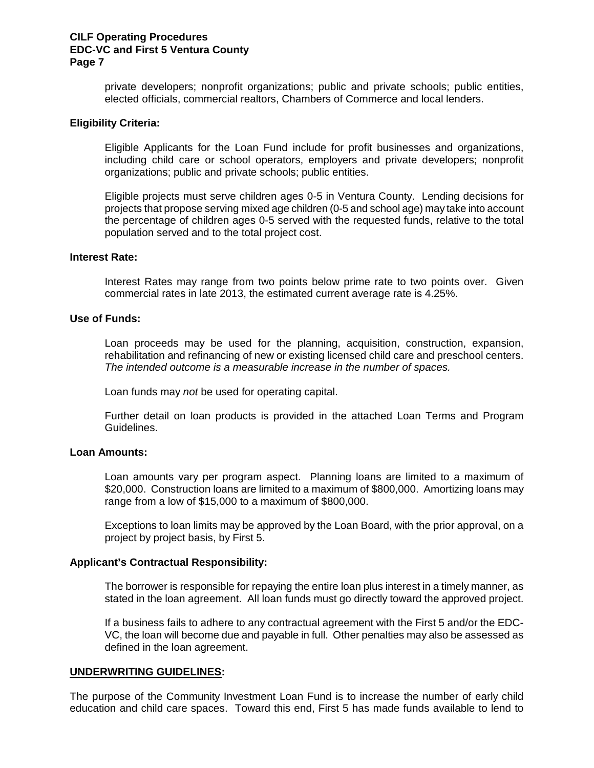private developers; nonprofit organizations; public and private schools; public entities, elected officials, commercial realtors, Chambers of Commerce and local lenders.

#### **Eligibility Criteria:**

Eligible Applicants for the Loan Fund include for profit businesses and organizations, including child care or school operators, employers and private developers; nonprofit organizations; public and private schools; public entities.

Eligible projects must serve children ages 0-5 in Ventura County. Lending decisions for projects that propose serving mixed age children (0-5 and school age) may take into account the percentage of children ages 0-5 served with the requested funds, relative to the total population served and to the total project cost.

#### **Interest Rate:**

Interest Rates may range from two points below prime rate to two points over. Given commercial rates in late 2013, the estimated current average rate is 4.25%.

#### **Use of Funds:**

Loan proceeds may be used for the planning, acquisition, construction, expansion, rehabilitation and refinancing of new or existing licensed child care and preschool centers. *The intended outcome is a measurable increase in the number of spaces.*

Loan funds may *not* be used for operating capital.

Further detail on loan products is provided in the attached Loan Terms and Program Guidelines.

#### **Loan Amounts:**

Loan amounts vary per program aspect. Planning loans are limited to a maximum of \$20,000. Construction loans are limited to a maximum of \$800,000. Amortizing loans may range from a low of \$15,000 to a maximum of \$800,000.

Exceptions to loan limits may be approved by the Loan Board, with the prior approval, on a project by project basis, by First 5.

#### **Applicant's Contractual Responsibility:**

The borrower is responsible for repaying the entire loan plus interest in a timely manner, as stated in the loan agreement. All loan funds must go directly toward the approved project.

If a business fails to adhere to any contractual agreement with the First 5 and/or the EDC-VC, the loan will become due and payable in full. Other penalties may also be assessed as defined in the loan agreement.

#### **UNDERWRITING GUIDELINES:**

The purpose of the Community Investment Loan Fund is to increase the number of early child education and child care spaces. Toward this end, First 5 has made funds available to lend to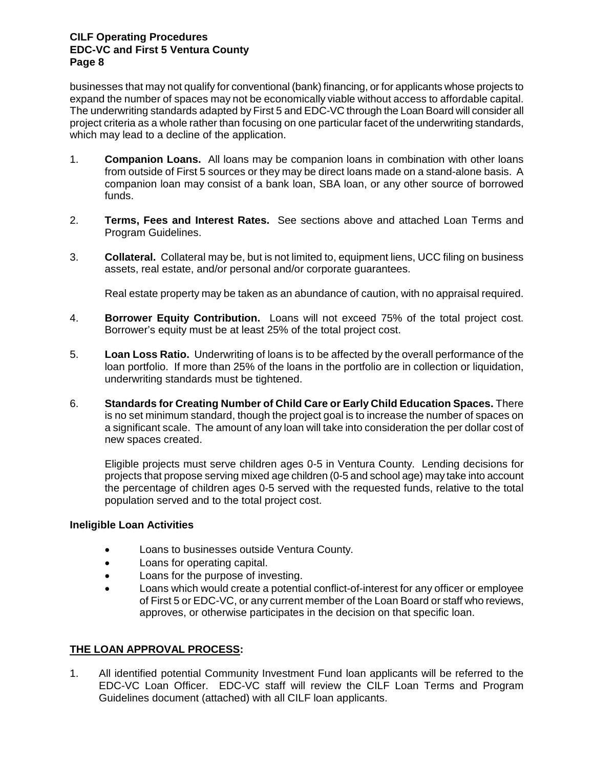businesses that may not qualify for conventional (bank) financing, or for applicants whose projects to expand the number of spaces may not be economically viable without access to affordable capital. The underwriting standards adapted by First 5 and EDC-VC through the Loan Board will consider all project criteria as a whole rather than focusing on one particular facet of the underwriting standards, which may lead to a decline of the application.

- 1. **Companion Loans.** All loans may be companion loans in combination with other loans from outside of First 5 sources or they may be direct loans made on a stand-alone basis. A companion loan may consist of a bank loan, SBA loan, or any other source of borrowed funds.
- 2. **Terms, Fees and Interest Rates.** See sections above and attached Loan Terms and Program Guidelines.
- 3. **Collateral.** Collateral may be, but is not limited to, equipment liens, UCC filing on business assets, real estate, and/or personal and/or corporate guarantees.

Real estate property may be taken as an abundance of caution, with no appraisal required.

- 4. **Borrower Equity Contribution.** Loans will not exceed 75% of the total project cost. Borrower's equity must be at least 25% of the total project cost.
- 5. **Loan Loss Ratio.** Underwriting of loans is to be affected by the overall performance of the loan portfolio. If more than 25% of the loans in the portfolio are in collection or liquidation, underwriting standards must be tightened.
- 6. **Standards for Creating Number of Child Care or Early Child Education Spaces.** There is no set minimum standard, though the project goal is to increase the number of spaces on a significant scale. The amount of any loan will take into consideration the per dollar cost of new spaces created.

Eligible projects must serve children ages 0-5 in Ventura County. Lending decisions for projects that propose serving mixed age children (0-5 and school age) may take into account the percentage of children ages 0-5 served with the requested funds, relative to the total population served and to the total project cost.

### **Ineligible Loan Activities**

- Loans to businesses outside Ventura County.
- Loans for operating capital.
- Loans for the purpose of investing.
- Loans which would create a potential conflict-of-interest for any officer or employee of First 5 or EDC-VC, or any current member of the Loan Board or staff who reviews, approves, or otherwise participates in the decision on that specific loan.

### **THE LOAN APPROVAL PROCESS:**

1. All identified potential Community Investment Fund loan applicants will be referred to the EDC-VC Loan Officer. EDC-VC staff will review the CILF Loan Terms and Program Guidelines document (attached) with all CILF loan applicants.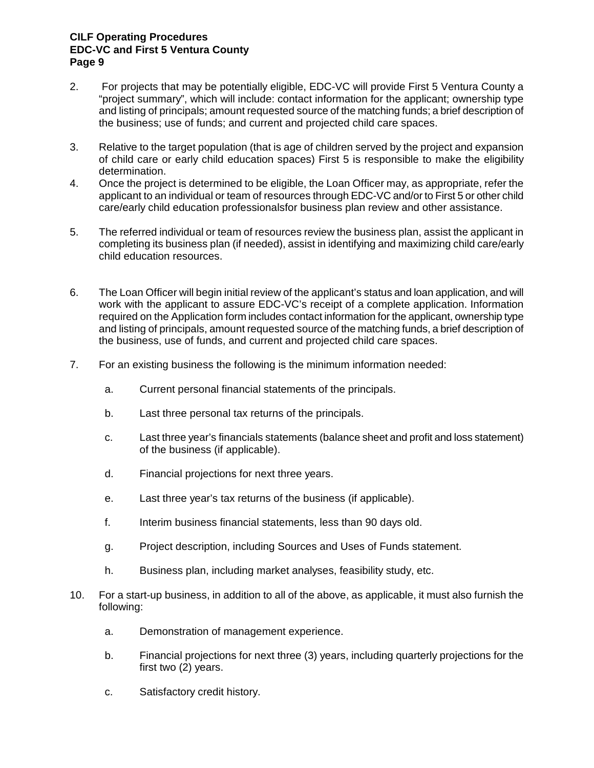- 2. For projects that may be potentially eligible, EDC-VC will provide First 5 Ventura County a "project summary", which will include: contact information for the applicant; ownership type and listing of principals; amount requested source of the matching funds; a brief description of the business; use of funds; and current and projected child care spaces.
- 3. Relative to the target population (that is age of children served by the project and expansion of child care or early child education spaces) First 5 is responsible to make the eligibility determination.
- 4. Once the project is determined to be eligible, the Loan Officer may, as appropriate, refer the applicant to an individual or team of resources through EDC-VC and/or to First 5 or other child care/early child education professionalsfor business plan review and other assistance.
- 5. The referred individual or team of resources review the business plan, assist the applicant in completing its business plan (if needed), assist in identifying and maximizing child care/early child education resources.
- 6. The Loan Officer will begin initial review of the applicant's status and loan application, and will work with the applicant to assure EDC-VC's receipt of a complete application. Information required on the Application form includes contact information for the applicant, ownership type and listing of principals, amount requested source of the matching funds, a brief description of the business, use of funds, and current and projected child care spaces.
- 7. For an existing business the following is the minimum information needed:
	- a. Current personal financial statements of the principals.
	- b. Last three personal tax returns of the principals.
	- c. Last three year's financials statements (balance sheet and profit and loss statement) of the business (if applicable).
	- d. Financial projections for next three years.
	- e. Last three year's tax returns of the business (if applicable).
	- f. Interim business financial statements, less than 90 days old.
	- g. Project description, including Sources and Uses of Funds statement.
	- h. Business plan, including market analyses, feasibility study, etc.
- 10. For a start-up business, in addition to all of the above, as applicable, it must also furnish the following:
	- a. Demonstration of management experience.
	- b. Financial projections for next three (3) years, including quarterly projections for the first two (2) years.
	- c. Satisfactory credit history.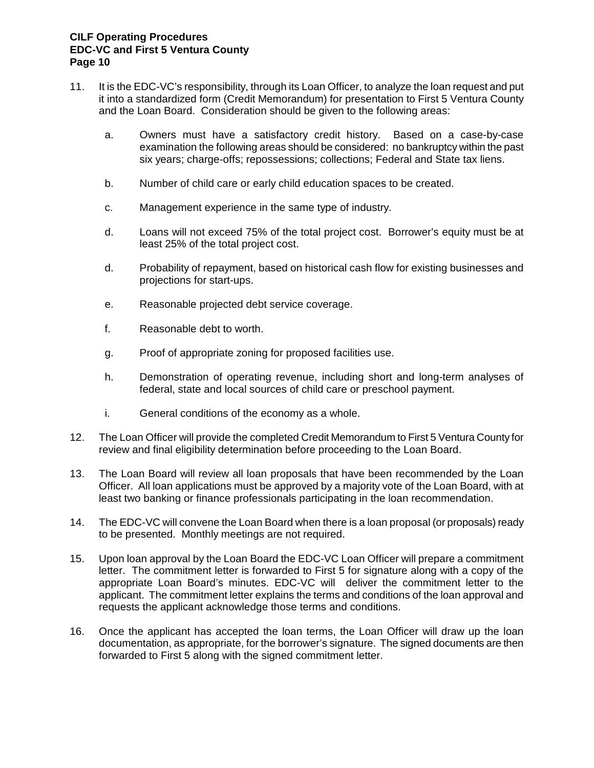- 11. It is the EDC-VC's responsibility, through its Loan Officer, to analyze the loan request and put it into a standardized form (Credit Memorandum) for presentation to First 5 Ventura County and the Loan Board. Consideration should be given to the following areas:
	- a. Owners must have a satisfactory credit history. Based on a case-by-case examination the following areas should be considered: no bankruptcy within the past six years; charge-offs; repossessions; collections; Federal and State tax liens.
	- b. Number of child care or early child education spaces to be created.
	- c. Management experience in the same type of industry.
	- d. Loans will not exceed 75% of the total project cost. Borrower's equity must be at least 25% of the total project cost.
	- d. Probability of repayment, based on historical cash flow for existing businesses and projections for start-ups.
	- e. Reasonable projected debt service coverage.
	- f. Reasonable debt to worth.
	- g. Proof of appropriate zoning for proposed facilities use.
	- h. Demonstration of operating revenue, including short and long-term analyses of federal, state and local sources of child care or preschool payment.
	- i. General conditions of the economy as a whole.
- 12. The Loan Officer will provide the completed Credit Memorandum to First 5 Ventura County for review and final eligibility determination before proceeding to the Loan Board.
- 13. The Loan Board will review all loan proposals that have been recommended by the Loan Officer. All loan applications must be approved by a majority vote of the Loan Board, with at least two banking or finance professionals participating in the loan recommendation.
- 14. The EDC-VC will convene the Loan Board when there is a loan proposal (or proposals) ready to be presented. Monthly meetings are not required.
- 15. Upon loan approval by the Loan Board the EDC-VC Loan Officer will prepare a commitment letter. The commitment letter is forwarded to First 5 for signature along with a copy of the appropriate Loan Board's minutes. EDC-VC will deliver the commitment letter to the applicant. The commitment letter explains the terms and conditions of the loan approval and requests the applicant acknowledge those terms and conditions.
- 16. Once the applicant has accepted the loan terms, the Loan Officer will draw up the loan documentation, as appropriate, for the borrower's signature. The signed documents are then forwarded to First 5 along with the signed commitment letter.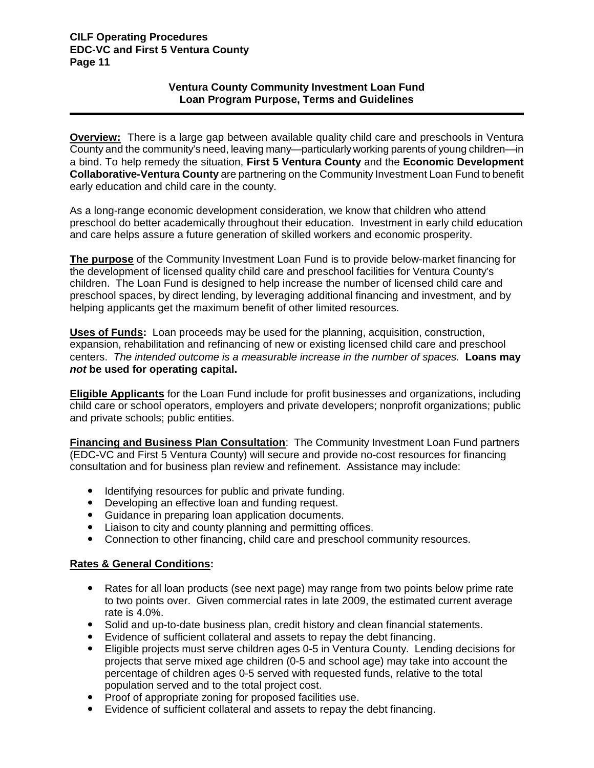## **Ventura County Community Investment Loan Fund Loan Program Purpose, Terms and Guidelines**

**Overview:** There is a large gap between available quality child care and preschools in Ventura County and the community's need, leaving many—particularly working parents of young children—in a bind. To help remedy the situation, **First 5 Ventura County** and the **Economic Development Collaborative-Ventura County** are partnering on the Community Investment Loan Fund to benefit early education and child care in the county.

As a long-range economic development consideration, we know that children who attend preschool do better academically throughout their education. Investment in early child education and care helps assure a future generation of skilled workers and economic prosperity.

**The purpose** of the Community Investment Loan Fund is to provide below-market financing for the development of licensed quality child care and preschool facilities for Ventura County's children. The Loan Fund is designed to help increase the number of licensed child care and preschool spaces, by direct lending, by leveraging additional financing and investment, and by helping applicants get the maximum benefit of other limited resources.

**Uses of Funds:** Loan proceeds may be used for the planning, acquisition, construction, expansion, rehabilitation and refinancing of new or existing licensed child care and preschool centers. *The intended outcome is a measurable increase in the number of spaces.* **Loans may** *not* **be used for operating capital.**

**Eligible Applicants** for the Loan Fund include for profit businesses and organizations, including child care or school operators, employers and private developers; nonprofit organizations; public and private schools; public entities.

**Financing and Business Plan Consultation**: The Community Investment Loan Fund partners (EDC-VC and First 5 Ventura County) will secure and provide no-cost resources for financing consultation and for business plan review and refinement. Assistance may include:

- Identifying resources for public and private funding.
- Developing an effective loan and funding request.
- Guidance in preparing loan application documents.
- Liaison to city and county planning and permitting offices.
- Connection to other financing, child care and preschool community resources.

## **Rates & General Conditions:**

- Rates for all loan products (see next page) may range from two points below prime rate to two points over. Given commercial rates in late 2009, the estimated current average rate is 4.0%.
- Solid and up-to-date business plan, credit history and clean financial statements.
- Evidence of sufficient collateral and assets to repay the debt financing.
- Eligible projects must serve children ages 0-5 in Ventura County. Lending decisions for projects that serve mixed age children (0-5 and school age) may take into account the percentage of children ages 0-5 served with requested funds, relative to the total population served and to the total project cost.
- Proof of appropriate zoning for proposed facilities use.
- Evidence of sufficient collateral and assets to repay the debt financing.